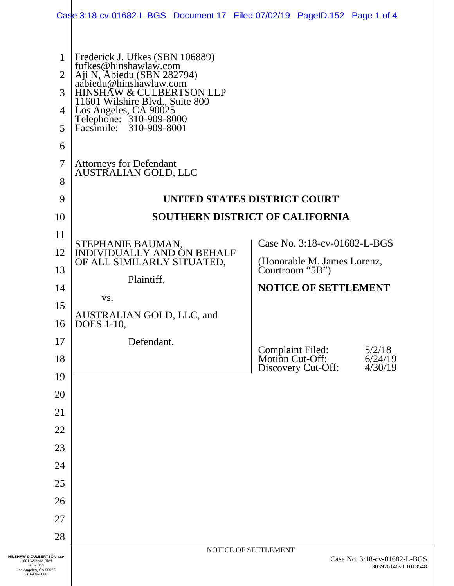|                                                                                                        | Case 3:18-cv-01682-L-BGS Document 17 Filed 07/02/19 PageID.152 Page 1 of 4                                                                                                                                                                                                |                                                                                                                                 |  |  |  |  |  |  |
|--------------------------------------------------------------------------------------------------------|---------------------------------------------------------------------------------------------------------------------------------------------------------------------------------------------------------------------------------------------------------------------------|---------------------------------------------------------------------------------------------------------------------------------|--|--|--|--|--|--|
| 1<br>$\overline{2}$<br>3<br>4<br>5<br>6                                                                | Frederick J. Ufkes (SBN 106889)<br>fufkes@hinshawlaw.com<br>Aji N, Abiedu (SBN 282794)<br>aabiedu@hinshawlaw.com<br><b>HINSHAW &amp; CULBERTSON LLP</b><br>11601 Wilshire Blvd., Suite 800<br>Los Angeles, CA 90025<br>Telephone: 310-909-8000<br>Facsimile: 310-909-8001 |                                                                                                                                 |  |  |  |  |  |  |
| 7<br>8                                                                                                 | Attorneys for Defendant<br>AUSTRALIAN GOLD, LLC                                                                                                                                                                                                                           |                                                                                                                                 |  |  |  |  |  |  |
| 9                                                                                                      | UNITED STATES DISTRICT COURT                                                                                                                                                                                                                                              |                                                                                                                                 |  |  |  |  |  |  |
| 10                                                                                                     | SOUTHERN DISTRICT OF CALIFORNIA                                                                                                                                                                                                                                           |                                                                                                                                 |  |  |  |  |  |  |
| 11                                                                                                     |                                                                                                                                                                                                                                                                           | Case No. 3:18-cv-01682-L-BGS                                                                                                    |  |  |  |  |  |  |
| 12                                                                                                     | STEPHANIE BAUMAN, INDIVIDUALLY AND ON BEHALF<br>OF ALL SIMILARLY SITUATED,                                                                                                                                                                                                | (Honorable M. James Lorenz, Courtroom "5B")                                                                                     |  |  |  |  |  |  |
| 13<br>14                                                                                               | Plaintiff,                                                                                                                                                                                                                                                                | <b>NOTICE OF SETTLEMENT</b>                                                                                                     |  |  |  |  |  |  |
| 15                                                                                                     | VS.                                                                                                                                                                                                                                                                       |                                                                                                                                 |  |  |  |  |  |  |
| 16                                                                                                     | AUSTRALIAN GOLD, LLC, and<br><b>DOES</b> 1-10,                                                                                                                                                                                                                            |                                                                                                                                 |  |  |  |  |  |  |
| 17                                                                                                     | Defendant.                                                                                                                                                                                                                                                                |                                                                                                                                 |  |  |  |  |  |  |
| 18                                                                                                     |                                                                                                                                                                                                                                                                           | <b>Complaint Filed:</b><br>Motion Cut-Off:<br>$\begin{array}{c} 5/2/18 \\ 6/24/19 \\ 4/30/19 \end{array}$<br>Discovery Cut-Off: |  |  |  |  |  |  |
| 19<br>20                                                                                               |                                                                                                                                                                                                                                                                           |                                                                                                                                 |  |  |  |  |  |  |
| 21                                                                                                     |                                                                                                                                                                                                                                                                           |                                                                                                                                 |  |  |  |  |  |  |
| 22                                                                                                     |                                                                                                                                                                                                                                                                           |                                                                                                                                 |  |  |  |  |  |  |
| 23                                                                                                     |                                                                                                                                                                                                                                                                           |                                                                                                                                 |  |  |  |  |  |  |
| 24                                                                                                     |                                                                                                                                                                                                                                                                           |                                                                                                                                 |  |  |  |  |  |  |
| 25                                                                                                     |                                                                                                                                                                                                                                                                           |                                                                                                                                 |  |  |  |  |  |  |
| 26<br>27                                                                                               |                                                                                                                                                                                                                                                                           |                                                                                                                                 |  |  |  |  |  |  |
| 28                                                                                                     |                                                                                                                                                                                                                                                                           |                                                                                                                                 |  |  |  |  |  |  |
| HINSHAW & CULBERTSON LLP<br>11601 Wilshire Blvd.<br>Suite 800<br>Los Angeles, CA 90025<br>310-909-8000 |                                                                                                                                                                                                                                                                           | NOTICE OF SETTLEMENT<br>Case No. 3:18-cv-01682-L-BGS<br>303976146v1 1013548                                                     |  |  |  |  |  |  |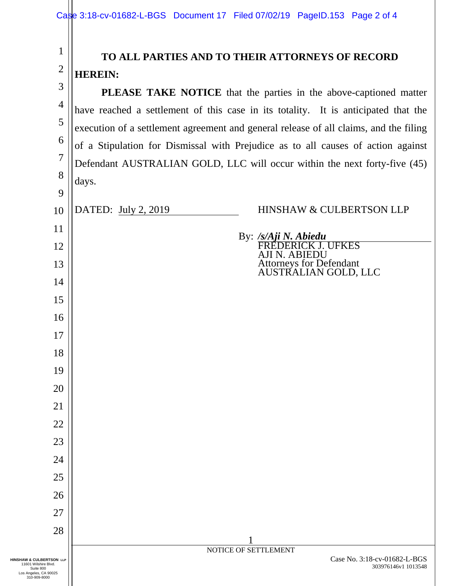1

2

## **TO ALL PARTIES AND TO THEIR ATTORNEYS OF RECORD HEREIN:**

3 4 5 6 7 8 9 10 11 12 13 14 15 16 17 18 19 20 21 22 23 24 25 26 27 28 1 NOTICE OF SETTLEMENT Case No. 3:18-cv-01682-L-BGS 303976146v1 1013548 **HINSHAW & CULBERTSON LLP**  11601 Wilshire Blvd. Suite 800 Los Angeles, CA 90025 310-909-8000 **PLEASE TAKE NOTICE** that the parties in the above-captioned matter have reached a settlement of this case in its totality. It is anticipated that the execution of a settlement agreement and general release of all claims, and the filing of a Stipulation for Dismissal with Prejudice as to all causes of action against Defendant AUSTRALIAN GOLD, LLC will occur within the next forty-five (45) days. DATED: July 2, 2019 By: */s/Aji N. Abiedu* HINSHAW & CULBERTSON LLP FREDERICK J. UFKES AJI N. ABIEDU Attorneys for Defendant AUSTRALIAN GOLD, LLC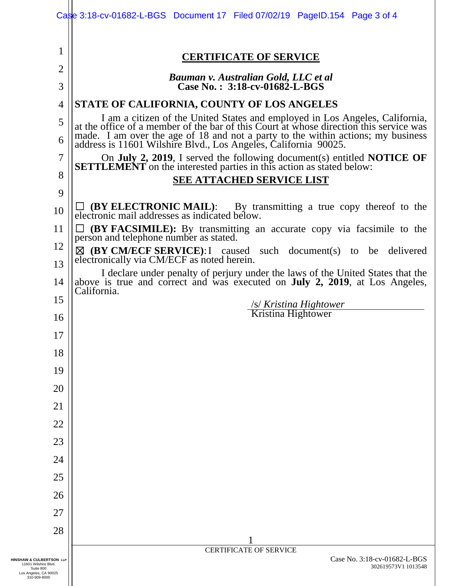|                                                                                                        | Case 3:18-cv-01682-L-BGS Document 17 Filed 07/02/19 PageID.154 Page 3 of 4                                                                                                         |  |  |  |  |  |  |
|--------------------------------------------------------------------------------------------------------|------------------------------------------------------------------------------------------------------------------------------------------------------------------------------------|--|--|--|--|--|--|
| 1                                                                                                      | <b>CERTIFICATE OF SERVICE</b>                                                                                                                                                      |  |  |  |  |  |  |
| $\overline{2}$                                                                                         | Bauman v. Australian Gold, LLC et al                                                                                                                                               |  |  |  |  |  |  |
| 3                                                                                                      | Case No.: $3:18$ -cv-01682-L-BGS                                                                                                                                                   |  |  |  |  |  |  |
| $\overline{4}$                                                                                         | STATE OF CALIFORNIA, COUNTY OF LOS ANGELES                                                                                                                                         |  |  |  |  |  |  |
| 5                                                                                                      | I am a citizen of the United States and employed in Los Angeles, California, at the office of a member of the bar of this Court at whose direction this service was                |  |  |  |  |  |  |
| 6                                                                                                      | made. I am over the age of 18 and not a party to the within actions; my business address is 11601 Wilshire Blvd., Los Angeles, California 90025.                                   |  |  |  |  |  |  |
| 7                                                                                                      | On July 2, 2019, I served the following document(s) entitled NOTICE OF SETTLEMENT on the interested parties in this action as stated below:                                        |  |  |  |  |  |  |
| 8                                                                                                      | <b>SEE ATTACHED SERVICE LIST</b>                                                                                                                                                   |  |  |  |  |  |  |
| 9                                                                                                      |                                                                                                                                                                                    |  |  |  |  |  |  |
| 10                                                                                                     | $\Box$ (BY ELECTRONIC MAIL): By transmitting a true copy thereof to the electronic mail addresses as indicated below.                                                              |  |  |  |  |  |  |
| 11                                                                                                     | $\Box$ (BY FACSIMILE): By transmitting an accurate copy via facsimile to the person and telephone number as stated.                                                                |  |  |  |  |  |  |
| 12                                                                                                     | $\boxtimes$ (BY CM/ECF SERVICE): I caused such document(s) to be delivered                                                                                                         |  |  |  |  |  |  |
| 13                                                                                                     | electronically via CM/ECF as noted herein.                                                                                                                                         |  |  |  |  |  |  |
| 14                                                                                                     | I declare under penalty of perjury under the laws of the United States that the above is true and correct and was executed on <b>July 2, 2019</b> , at Los Angeles,<br>California. |  |  |  |  |  |  |
| 15                                                                                                     | /s/ Kristina Hightower                                                                                                                                                             |  |  |  |  |  |  |
| 16                                                                                                     | Kristina Hightower                                                                                                                                                                 |  |  |  |  |  |  |
| $\perp$                                                                                                |                                                                                                                                                                                    |  |  |  |  |  |  |
| 18                                                                                                     |                                                                                                                                                                                    |  |  |  |  |  |  |
| 19                                                                                                     |                                                                                                                                                                                    |  |  |  |  |  |  |
| 20                                                                                                     |                                                                                                                                                                                    |  |  |  |  |  |  |
| 21                                                                                                     |                                                                                                                                                                                    |  |  |  |  |  |  |
| 22                                                                                                     |                                                                                                                                                                                    |  |  |  |  |  |  |
| 23                                                                                                     |                                                                                                                                                                                    |  |  |  |  |  |  |
| 24                                                                                                     |                                                                                                                                                                                    |  |  |  |  |  |  |
| 25                                                                                                     |                                                                                                                                                                                    |  |  |  |  |  |  |
| 26                                                                                                     |                                                                                                                                                                                    |  |  |  |  |  |  |
| 27                                                                                                     |                                                                                                                                                                                    |  |  |  |  |  |  |
| 28                                                                                                     |                                                                                                                                                                                    |  |  |  |  |  |  |
|                                                                                                        | <b>CERTIFICATE OF SERVICE</b>                                                                                                                                                      |  |  |  |  |  |  |
| HINSHAW & CULBERTSON LLP<br>11601 Wilshire Blvd.<br>Suite 800<br>Los Angeles, CA 90025<br>310-909-8000 | Case No. 3:18-cv-01682-L-BGS<br>302619573V1 1013548                                                                                                                                |  |  |  |  |  |  |